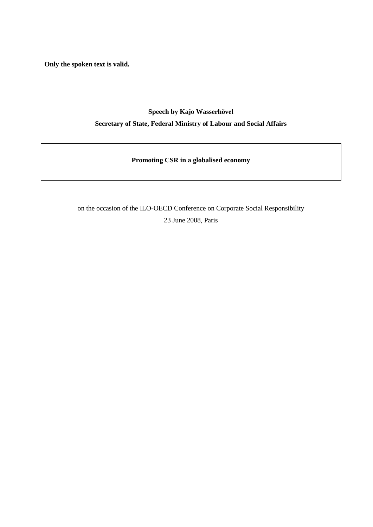**Only the spoken text is valid.**

## **Speech by Kajo Wasserhövel Secretary of State, Federal Ministry of Labour and Social Affairs**

**Promoting CSR in a globalised economy**

on the occasion of the ILO-OECD Conference on Corporate Social Responsibility 23 June 2008, Paris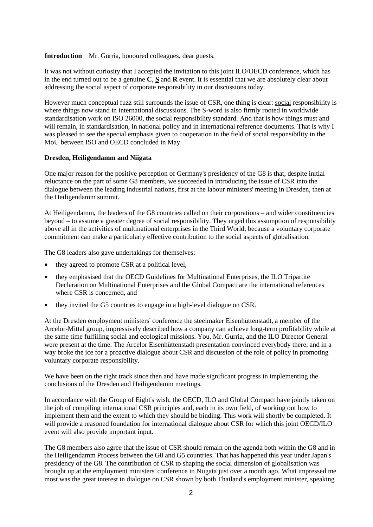**Introduction** Mr. Gurria, honoured colleagues, dear guests,

It was not without curiosity that I accepted the invitation to this joint ILO/OECD conference, which has in the end turned out to be a genuine **C**, **S** and **R** event. It is essential that we are absolutely clear about addressing the social aspect of corporate responsibility in our discussions today.

However much conceptual fuzz still surrounds the issue of CSR, one thing is clear: social responsibility is where things now stand in international discussions. The S-word is also firmly rooted in worldwide standardisation work on ISO 26000, the social responsibility standard. And that is how things must and will remain, in standardisation, in national policy and in international reference documents. That is why I was pleased to see the special emphasis given to cooperation in the field of social responsibility in the MoU between ISO and OECD concluded in May.

## **Dresden, Heiligendamm and Niigata**

One major reason for the positive perception of Germany's presidency of the G8 is that, despite initial reluctance on the part of some G8 members, we succeeded in introducing the issue of CSR into the dialogue between the leading industrial nations, first at the labour ministers' meeting in Dresden, then at the Heiligendamm summit.

At Heiligendamm, the leaders of the G8 countries called on their corporations – and wider constituencies beyond – to assume a greater degree of social responsibility. They urged this assumption of responsibility above all in the activities of multinational enterprises in the Third World, because a voluntary corporate commitment can make a particularly effective contribution to the social aspects of globalisation.

The G8 leaders also gave undertakings for themselves:

- they agreed to promote CSR at a political level,
- they emphasised that the OECD Guidelines for Multinational Enterprises, the ILO Tripartite Declaration on Multinational Enterprises and the Global Compact are the international references where CSR is concerned, and
- they invited the G5 countries to engage in a high-level dialogue on CSR.

At the Dresden employment ministers' conference the steelmaker Eisenhüttenstadt, a member of the Arcelor-Mittal group, impressively described how a company can achieve long-term profitability while at the same time fulfilling social and ecological missions. You, Mr. Gurria, and the ILO Director General were present at the time. The Arcelor Eisenhüttenstadt presentation convinced everybody there, and in a way broke the ice for a proactive dialogue about CSR and discussion of the role of policy in promoting voluntary corporate responsibility.

We have been on the right track since then and have made significant progress in implementing the conclusions of the Dresden and Heiligendamm meetings.

In accordance with the Group of Eight's wish, the OECD, ILO and Global Compact have jointly taken on the job of compiling international CSR principles and, each in its own field, of working out how to implement them and the extent to which they should be binding. This work will shortly be completed. It will provide a reasoned foundation for international dialogue about CSR for which this joint OECD/ILO event will also provide important input.

The G8 members also agree that the issue of CSR should remain on the agenda both within the G8 and in the Heiligendamm Process between the G8 and G5 countries. That has happened this year under Japan's presidency of the G8. The contribution of CSR to shaping the social dimension of globalisation was brought up at the employment ministers' conference in Niigata just over a month ago. What impressed me most was the great interest in dialogue on CSR shown by both Thailand's employment minister, speaking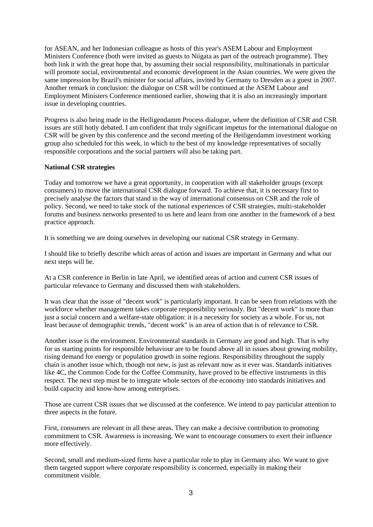for ASEAN, and her Indonesian colleague as hosts of this year's ASEM Labour and Employment Ministers Conference (both were invited as guests to Niigata as part of the outreach programme). They both link it with the great hope that, by assuming their social responsibility, multinationals in particular will promote social, environmental and economic development in the Asian countries. We were given the same impression by Brazil's minister for social affairs, invited by Germany to Dresden as a guest in 2007. Another remark in conclusion: the dialogue on CSR will be continued at the ASEM Labour and Employment Ministers Conference mentioned earlier, showing that it is also an increasingly important issue in developing countries.

Progress is also being made in the Heiligendamm Process dialogue, where the definition of CSR and CSR issues are still hotly debated. I am confident that truly significant impetus for the international dialogue on CSR will be given by this conference and the second meeting of the Heiligendamm investment working group also scheduled for this week, in which to the best of my knowledge representatives of socially responsible corporations and the social partners will also be taking part.

## **National CSR strategies**

Today and tomorrow we have a great opportunity, in cooperation with all stakeholder groups (except consumers) to move the international CSR dialogue forward. To achieve that, it is necessary first to precisely analyse the factors that stand in the way of international consensus on CSR and the role of policy. Second, we need to take stock of the national experiences of CSR strategies, multi-stakeholder forums and business networks presented to us here and learn from one another in the framework of a best practice approach.

It is something we are doing ourselves in developing our national CSR strategy in Germany.

I should like to briefly describe which areas of action and issues are important in Germany and what our next steps will be.

At a CSR conference in Berlin in late April, we identified areas of action and current CSR issues of particular relevance to Germany and discussed them with stakeholders.

It was clear that the issue of "decent work" is particularly important. It can be seen from relations with the workforce whether management takes corporate responsibility seriously. But "decent work" is more than just a social concern and a welfare-state obligation: it is a necessity for society as a whole. For us, not least because of demographic trends, "decent work" is an area of action that is of relevance to CSR.

Another issue is the environment. Environmental standards in Germany are good and high. That is why for us starting points for responsible behaviour are to be found above all in issues about growing mobility, rising demand for energy or population growth in some regions. Responsibility throughout the supply chain is another issue which, though not new, is just as relevant now as it ever was. Standards initiatives like 4C, the Common Code for the Coffee Community, have proved to be effective instruments in this respect. The next step must be to integrate whole sectors of the economy into standards initiatives and build capacity and know-how among enterprises.

Those are current CSR issues that we discussed at the conference. We intend to pay particular attention to three aspects in the future.

First, consumers are relevant in all these areas. They can make a decisive contribution to promoting commitment to CSR. Awareness is increasing. We want to encourage consumers to exert their influence more effectively.

Second, small and medium-sized firms have a particular role to play in Germany also. We want to give them targeted support where corporate responsibility is concerned, especially in making their commitment visible.